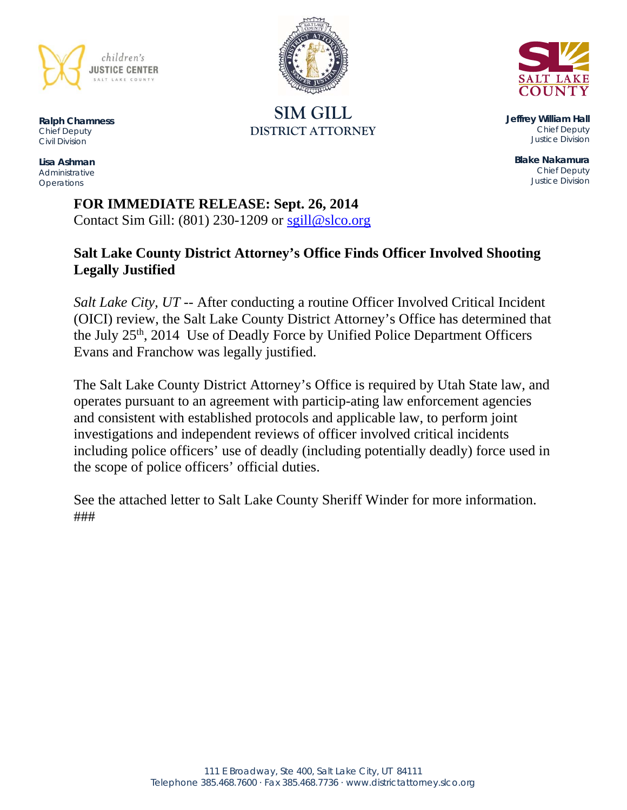

**SIM GILL DISTRICT ATTORNEY** 



**Jeffrey William Hall**  *Chief Deputy Justice Division* 

**Blake Nakamura**  *Chief Deputy Justice Division* 

**Ralph Chamness**  *Chief Deputy Civil Division* 

**Lisa Ashman**  *Administrative Operations* 

> **FOR IMMEDIATE RELEASE: Sept. 26, 2014** Contact Sim Gill:  $(801)$  230-1209 or sgill@slco.org

# **Salt Lake County District Attorney's Office Finds Officer Involved Shooting Legally Justified**

*Salt Lake City, UT* -- After conducting a routine Officer Involved Critical Incident (OICI) review, the Salt Lake County District Attorney's Office has determined that the July 25<sup>th</sup>, 2014 Use of Deadly Force by Unified Police Department Officers Evans and Franchow was legally justified.

The Salt Lake County District Attorney's Office is required by Utah State law, and operates pursuant to an agreement with particip-ating law enforcement agencies and consistent with established protocols and applicable law, to perform joint investigations and independent reviews of officer involved critical incidents including police officers' use of deadly (including potentially deadly) force used in the scope of police officers' official duties.

See the attached letter to Salt Lake County Sheriff Winder for more information. ###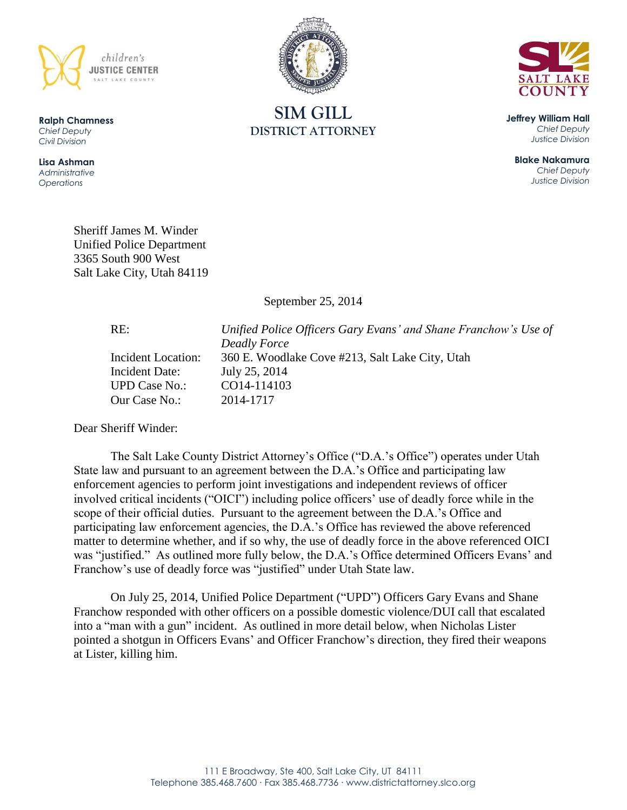



**SIM GILL DISTRICT ATTORNEY**

**Ralph Chamness**  *Chief Deputy Civil Division*

**Lisa Ashman** *Administrative Operations*

**Jeffrey William Hall** *Chief Deputy Justice Division*

**Blake Nakamura** *Chief Deputy Justice Division*

Sheriff James M. Winder Unified Police Department 3365 South 900 West Salt Lake City, Utah 84119

September 25, 2014

Incident Date: July 25, 2014 UPD Case No.: CO14-114103 Our Case No.: 2014-1717

RE: *Unified Police Officers Gary Evans' and Shane Franchow's Use of Deadly Force* Incident Location: 360 E. Woodlake Cove #213, Salt Lake City, Utah

Dear Sheriff Winder:

The Salt Lake County District Attorney's Office ("D.A.'s Office") operates under Utah State law and pursuant to an agreement between the D.A.'s Office and participating law enforcement agencies to perform joint investigations and independent reviews of officer involved critical incidents ("OICI") including police officers' use of deadly force while in the scope of their official duties. Pursuant to the agreement between the D.A.'s Office and participating law enforcement agencies, the D.A.'s Office has reviewed the above referenced matter to determine whether, and if so why, the use of deadly force in the above referenced OICI was "justified." As outlined more fully below, the D.A.'s Office determined Officers Evans' and Franchow's use of deadly force was "justified" under Utah State law.

On July 25, 2014, Unified Police Department ("UPD") Officers Gary Evans and Shane Franchow responded with other officers on a possible domestic violence/DUI call that escalated into a "man with a gun" incident. As outlined in more detail below, when Nicholas Lister pointed a shotgun in Officers Evans' and Officer Franchow's direction, they fired their weapons at Lister, killing him.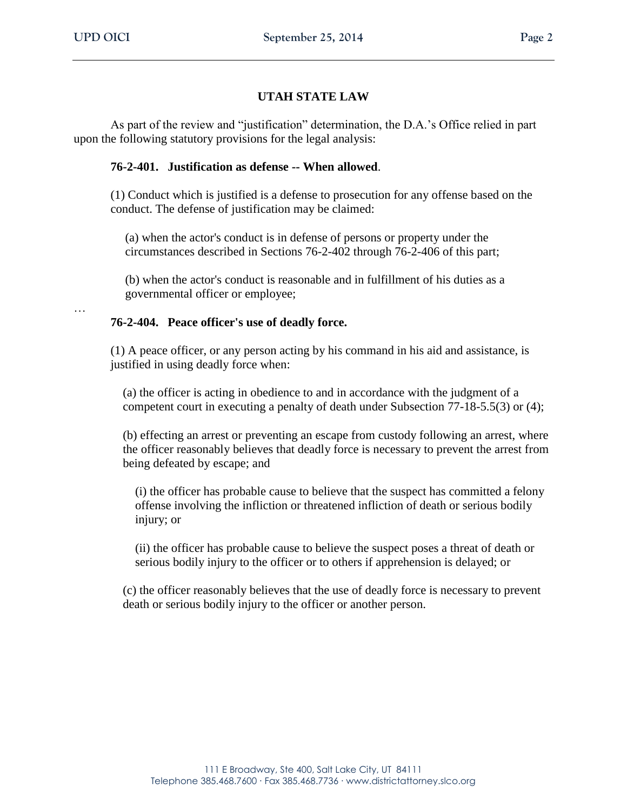# **UTAH STATE LAW**

As part of the review and "justification" determination, the D.A.'s Office relied in part upon the following statutory provisions for the legal analysis:

# **76-2-401. Justification as defense -- When allowed**.

(1) Conduct which is justified is a defense to prosecution for any offense based on the conduct. The defense of justification may be claimed:

(a) when the actor's conduct is in defense of persons or property under the circumstances described in Sections 76-2-402 through 76-2-406 of this part;

(b) when the actor's conduct is reasonable and in fulfillment of his duties as a governmental officer or employee;

…

#### **76-2-404. Peace officer's use of deadly force.**

(1) A peace officer, or any person acting by his command in his aid and assistance, is justified in using deadly force when:

(a) the officer is acting in obedience to and in accordance with the judgment of a competent court in executing a penalty of death under Subsection 77-18-5.5(3) or (4);

(b) effecting an arrest or preventing an escape from custody following an arrest, where the officer reasonably believes that deadly force is necessary to prevent the arrest from being defeated by escape; and

(i) the officer has probable cause to believe that the suspect has committed a felony offense involving the infliction or threatened infliction of death or serious bodily injury; or

(ii) the officer has probable cause to believe the suspect poses a threat of death or serious bodily injury to the officer or to others if apprehension is delayed; or

(c) the officer reasonably believes that the use of deadly force is necessary to prevent death or serious bodily injury to the officer or another person.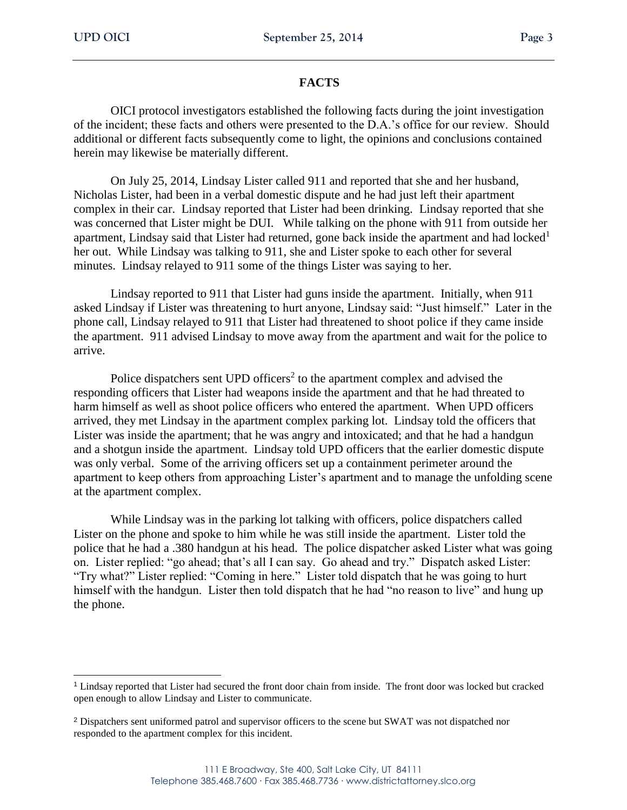# **FACTS**

OICI protocol investigators established the following facts during the joint investigation of the incident; these facts and others were presented to the D.A.'s office for our review. Should additional or different facts subsequently come to light, the opinions and conclusions contained herein may likewise be materially different.

On July 25, 2014, Lindsay Lister called 911 and reported that she and her husband, Nicholas Lister, had been in a verbal domestic dispute and he had just left their apartment complex in their car. Lindsay reported that Lister had been drinking. Lindsay reported that she was concerned that Lister might be DUI. While talking on the phone with 911 from outside her apartment, Lindsay said that Lister had returned, gone back inside the apartment and had locked<sup>1</sup> her out. While Lindsay was talking to 911, she and Lister spoke to each other for several minutes. Lindsay relayed to 911 some of the things Lister was saying to her.

Lindsay reported to 911 that Lister had guns inside the apartment. Initially, when 911 asked Lindsay if Lister was threatening to hurt anyone, Lindsay said: "Just himself." Later in the phone call, Lindsay relayed to 911 that Lister had threatened to shoot police if they came inside the apartment. 911 advised Lindsay to move away from the apartment and wait for the police to arrive.

Police dispatchers sent UPD officers<sup>2</sup> to the apartment complex and advised the responding officers that Lister had weapons inside the apartment and that he had threated to harm himself as well as shoot police officers who entered the apartment. When UPD officers arrived, they met Lindsay in the apartment complex parking lot. Lindsay told the officers that Lister was inside the apartment; that he was angry and intoxicated; and that he had a handgun and a shotgun inside the apartment. Lindsay told UPD officers that the earlier domestic dispute was only verbal. Some of the arriving officers set up a containment perimeter around the apartment to keep others from approaching Lister's apartment and to manage the unfolding scene at the apartment complex.

While Lindsay was in the parking lot talking with officers, police dispatchers called Lister on the phone and spoke to him while he was still inside the apartment. Lister told the police that he had a .380 handgun at his head. The police dispatcher asked Lister what was going on. Lister replied: "go ahead; that's all I can say. Go ahead and try." Dispatch asked Lister: "Try what?" Lister replied: "Coming in here." Lister told dispatch that he was going to hurt himself with the handgun. Lister then told dispatch that he had "no reason to live" and hung up the phone.

<sup>1</sup> Lindsay reported that Lister had secured the front door chain from inside. The front door was locked but cracked open enough to allow Lindsay and Lister to communicate.

<sup>2</sup> Dispatchers sent uniformed patrol and supervisor officers to the scene but SWAT was not dispatched nor responded to the apartment complex for this incident.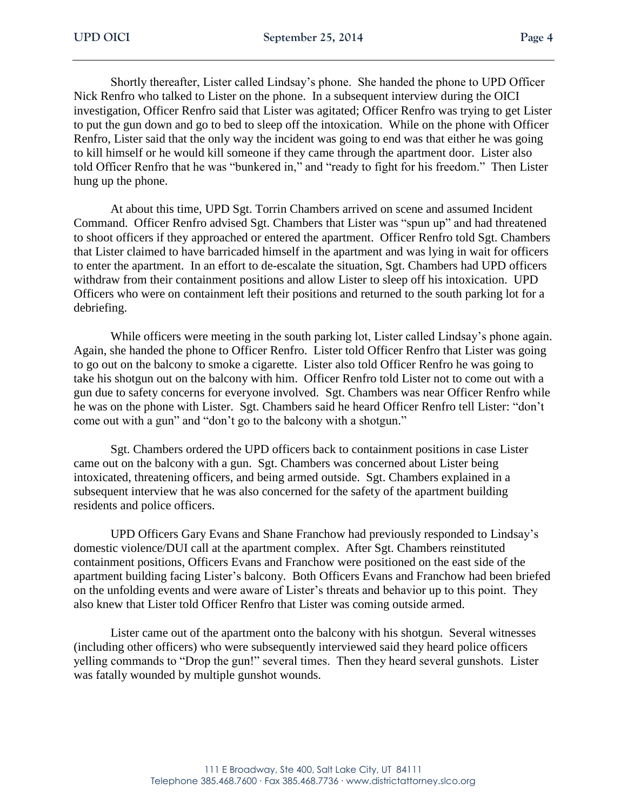Shortly thereafter, Lister called Lindsay's phone. She handed the phone to UPD Officer Nick Renfro who talked to Lister on the phone. In a subsequent interview during the OICI investigation, Officer Renfro said that Lister was agitated; Officer Renfro was trying to get Lister to put the gun down and go to bed to sleep off the intoxication. While on the phone with Officer Renfro, Lister said that the only way the incident was going to end was that either he was going to kill himself or he would kill someone if they came through the apartment door. Lister also told Officer Renfro that he was "bunkered in," and "ready to fight for his freedom." Then Lister hung up the phone.

At about this time, UPD Sgt. Torrin Chambers arrived on scene and assumed Incident Command. Officer Renfro advised Sgt. Chambers that Lister was "spun up" and had threatened to shoot officers if they approached or entered the apartment. Officer Renfro told Sgt. Chambers that Lister claimed to have barricaded himself in the apartment and was lying in wait for officers to enter the apartment. In an effort to de-escalate the situation, Sgt. Chambers had UPD officers withdraw from their containment positions and allow Lister to sleep off his intoxication. UPD Officers who were on containment left their positions and returned to the south parking lot for a debriefing.

While officers were meeting in the south parking lot, Lister called Lindsay's phone again. Again, she handed the phone to Officer Renfro. Lister told Officer Renfro that Lister was going to go out on the balcony to smoke a cigarette. Lister also told Officer Renfro he was going to take his shotgun out on the balcony with him. Officer Renfro told Lister not to come out with a gun due to safety concerns for everyone involved. Sgt. Chambers was near Officer Renfro while he was on the phone with Lister. Sgt. Chambers said he heard Officer Renfro tell Lister: "don't come out with a gun" and "don't go to the balcony with a shotgun."

Sgt. Chambers ordered the UPD officers back to containment positions in case Lister came out on the balcony with a gun. Sgt. Chambers was concerned about Lister being intoxicated, threatening officers, and being armed outside. Sgt. Chambers explained in a subsequent interview that he was also concerned for the safety of the apartment building residents and police officers.

UPD Officers Gary Evans and Shane Franchow had previously responded to Lindsay's domestic violence/DUI call at the apartment complex. After Sgt. Chambers reinstituted containment positions, Officers Evans and Franchow were positioned on the east side of the apartment building facing Lister's balcony. Both Officers Evans and Franchow had been briefed on the unfolding events and were aware of Lister's threats and behavior up to this point. They also knew that Lister told Officer Renfro that Lister was coming outside armed.

Lister came out of the apartment onto the balcony with his shotgun. Several witnesses (including other officers) who were subsequently interviewed said they heard police officers yelling commands to "Drop the gun!" several times. Then they heard several gunshots. Lister was fatally wounded by multiple gunshot wounds.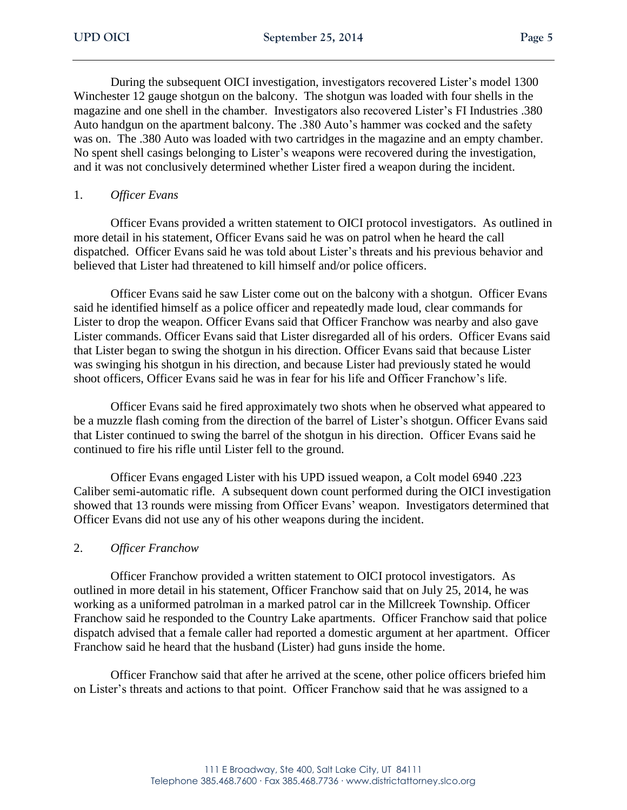During the subsequent OICI investigation, investigators recovered Lister's model 1300 Winchester 12 gauge shotgun on the balcony. The shotgun was loaded with four shells in the magazine and one shell in the chamber. Investigators also recovered Lister's FI Industries .380 Auto handgun on the apartment balcony. The .380 Auto's hammer was cocked and the safety was on. The .380 Auto was loaded with two cartridges in the magazine and an empty chamber. No spent shell casings belonging to Lister's weapons were recovered during the investigation, and it was not conclusively determined whether Lister fired a weapon during the incident.

# 1. *Officer Evans*

Officer Evans provided a written statement to OICI protocol investigators. As outlined in more detail in his statement, Officer Evans said he was on patrol when he heard the call dispatched. Officer Evans said he was told about Lister's threats and his previous behavior and believed that Lister had threatened to kill himself and/or police officers.

Officer Evans said he saw Lister come out on the balcony with a shotgun. Officer Evans said he identified himself as a police officer and repeatedly made loud, clear commands for Lister to drop the weapon. Officer Evans said that Officer Franchow was nearby and also gave Lister commands. Officer Evans said that Lister disregarded all of his orders. Officer Evans said that Lister began to swing the shotgun in his direction. Officer Evans said that because Lister was swinging his shotgun in his direction, and because Lister had previously stated he would shoot officers, Officer Evans said he was in fear for his life and Officer Franchow's life.

Officer Evans said he fired approximately two shots when he observed what appeared to be a muzzle flash coming from the direction of the barrel of Lister's shotgun. Officer Evans said that Lister continued to swing the barrel of the shotgun in his direction. Officer Evans said he continued to fire his rifle until Lister fell to the ground.

Officer Evans engaged Lister with his UPD issued weapon, a Colt model 6940 .223 Caliber semi-automatic rifle. A subsequent down count performed during the OICI investigation showed that 13 rounds were missing from Officer Evans' weapon. Investigators determined that Officer Evans did not use any of his other weapons during the incident.

#### 2. *Officer Franchow*

Officer Franchow provided a written statement to OICI protocol investigators. As outlined in more detail in his statement, Officer Franchow said that on July 25, 2014, he was working as a uniformed patrolman in a marked patrol car in the Millcreek Township. Officer Franchow said he responded to the Country Lake apartments. Officer Franchow said that police dispatch advised that a female caller had reported a domestic argument at her apartment. Officer Franchow said he heard that the husband (Lister) had guns inside the home.

Officer Franchow said that after he arrived at the scene, other police officers briefed him on Lister's threats and actions to that point. Officer Franchow said that he was assigned to a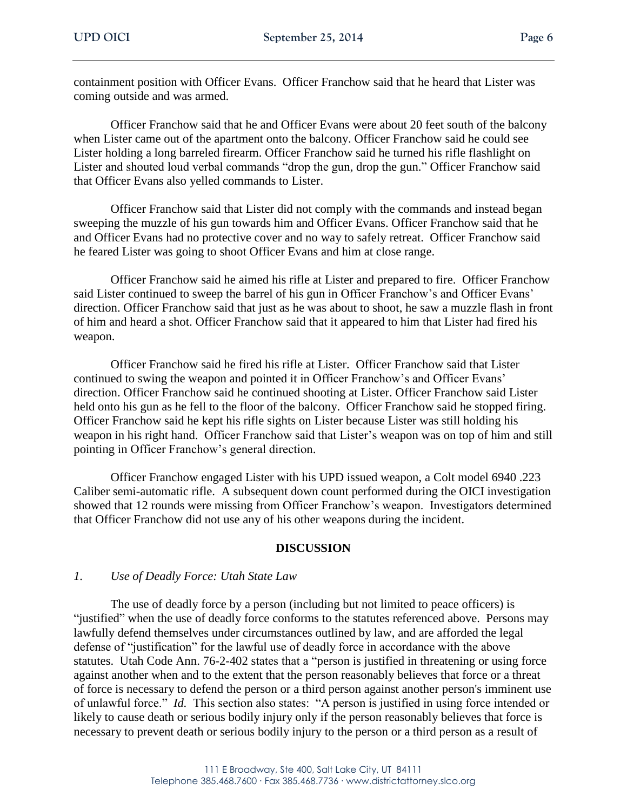containment position with Officer Evans. Officer Franchow said that he heard that Lister was coming outside and was armed.

Officer Franchow said that he and Officer Evans were about 20 feet south of the balcony when Lister came out of the apartment onto the balcony. Officer Franchow said he could see Lister holding a long barreled firearm. Officer Franchow said he turned his rifle flashlight on Lister and shouted loud verbal commands "drop the gun, drop the gun." Officer Franchow said that Officer Evans also yelled commands to Lister.

Officer Franchow said that Lister did not comply with the commands and instead began sweeping the muzzle of his gun towards him and Officer Evans. Officer Franchow said that he and Officer Evans had no protective cover and no way to safely retreat. Officer Franchow said he feared Lister was going to shoot Officer Evans and him at close range.

Officer Franchow said he aimed his rifle at Lister and prepared to fire. Officer Franchow said Lister continued to sweep the barrel of his gun in Officer Franchow's and Officer Evans' direction. Officer Franchow said that just as he was about to shoot, he saw a muzzle flash in front of him and heard a shot. Officer Franchow said that it appeared to him that Lister had fired his weapon.

Officer Franchow said he fired his rifle at Lister. Officer Franchow said that Lister continued to swing the weapon and pointed it in Officer Franchow's and Officer Evans' direction. Officer Franchow said he continued shooting at Lister. Officer Franchow said Lister held onto his gun as he fell to the floor of the balcony. Officer Franchow said he stopped firing. Officer Franchow said he kept his rifle sights on Lister because Lister was still holding his weapon in his right hand. Officer Franchow said that Lister's weapon was on top of him and still pointing in Officer Franchow's general direction.

Officer Franchow engaged Lister with his UPD issued weapon, a Colt model 6940 .223 Caliber semi-automatic rifle. A subsequent down count performed during the OICI investigation showed that 12 rounds were missing from Officer Franchow's weapon. Investigators determined that Officer Franchow did not use any of his other weapons during the incident.

#### **DISCUSSION**

# *1. Use of Deadly Force: Utah State Law*

The use of deadly force by a person (including but not limited to peace officers) is "justified" when the use of deadly force conforms to the statutes referenced above. Persons may lawfully defend themselves under circumstances outlined by law, and are afforded the legal defense of "justification" for the lawful use of deadly force in accordance with the above statutes. Utah Code Ann. 76-2-402 states that a "person is justified in threatening or using force against another when and to the extent that the person reasonably believes that force or a threat of force is necessary to defend the person or a third person against another person's imminent use of unlawful force." *Id.* This section also states: "A person is justified in using force intended or likely to cause death or serious bodily injury only if the person reasonably believes that force is necessary to prevent death or serious bodily injury to the person or a third person as a result of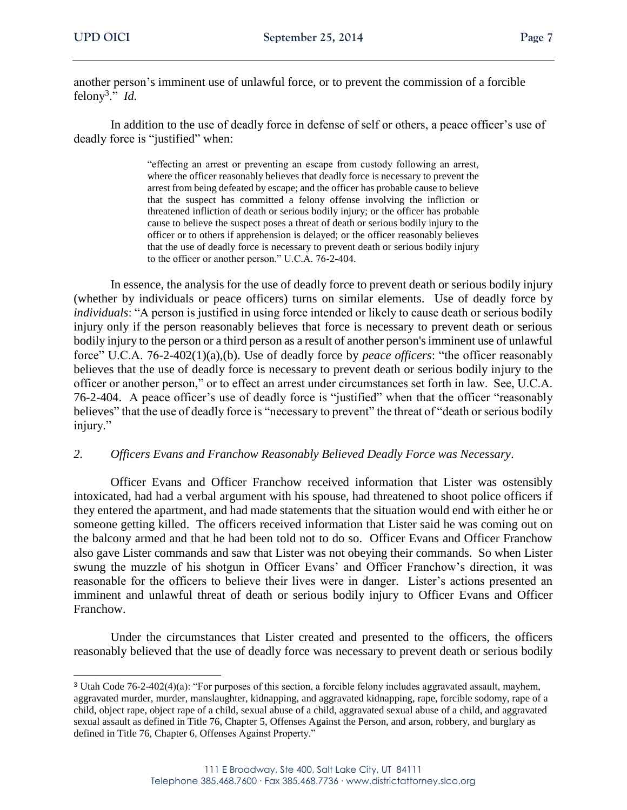another person's imminent use of unlawful force, or to prevent the commission of a forcible felony<sup>3</sup>." *Id.* 

In addition to the use of deadly force in defense of self or others, a peace officer's use of deadly force is "justified" when:

> "effecting an arrest or preventing an escape from custody following an arrest, where the officer reasonably believes that deadly force is necessary to prevent the arrest from being defeated by escape; and the officer has probable cause to believe that the suspect has committed a felony offense involving the infliction or threatened infliction of death or serious bodily injury; or the officer has probable cause to believe the suspect poses a threat of death or serious bodily injury to the officer or to others if apprehension is delayed; or the officer reasonably believes that the use of deadly force is necessary to prevent death or serious bodily injury to the officer or another person." U.C.A. 76-2-404.

In essence, the analysis for the use of deadly force to prevent death or serious bodily injury (whether by individuals or peace officers) turns on similar elements. Use of deadly force by *individuals*: "A person is justified in using force intended or likely to cause death or serious bodily injury only if the person reasonably believes that force is necessary to prevent death or serious bodily injury to the person or a third person as a result of another person's imminent use of unlawful force" U.C.A. 76-2-402(1)(a),(b). Use of deadly force by *peace officers*: "the officer reasonably believes that the use of deadly force is necessary to prevent death or serious bodily injury to the officer or another person," or to effect an arrest under circumstances set forth in law. See, U.C.A. 76-2-404. A peace officer's use of deadly force is "justified" when that the officer "reasonably believes" that the use of deadly force is "necessary to prevent" the threat of "death or serious bodily injury."

#### *2. Officers Evans and Franchow Reasonably Believed Deadly Force was Necessary*.

Officer Evans and Officer Franchow received information that Lister was ostensibly intoxicated, had had a verbal argument with his spouse, had threatened to shoot police officers if they entered the apartment, and had made statements that the situation would end with either he or someone getting killed. The officers received information that Lister said he was coming out on the balcony armed and that he had been told not to do so. Officer Evans and Officer Franchow also gave Lister commands and saw that Lister was not obeying their commands. So when Lister swung the muzzle of his shotgun in Officer Evans' and Officer Franchow's direction, it was reasonable for the officers to believe their lives were in danger. Lister's actions presented an imminent and unlawful threat of death or serious bodily injury to Officer Evans and Officer Franchow.

Under the circumstances that Lister created and presented to the officers, the officers reasonably believed that the use of deadly force was necessary to prevent death or serious bodily

<sup>3</sup> Utah Code 76-2-402(4)(a): "For purposes of this section, a forcible felony includes aggravated assault, mayhem, aggravated murder, murder, manslaughter, kidnapping, and aggravated kidnapping, rape, forcible sodomy, rape of a child, object rape, object rape of a child, sexual abuse of a child, aggravated sexual abuse of a child, and aggravated sexual assault as defined in Title 76, Chapter 5, Offenses Against the Person, and arson, robbery, and burglary as defined in Title 76, Chapter 6, Offenses Against Property."